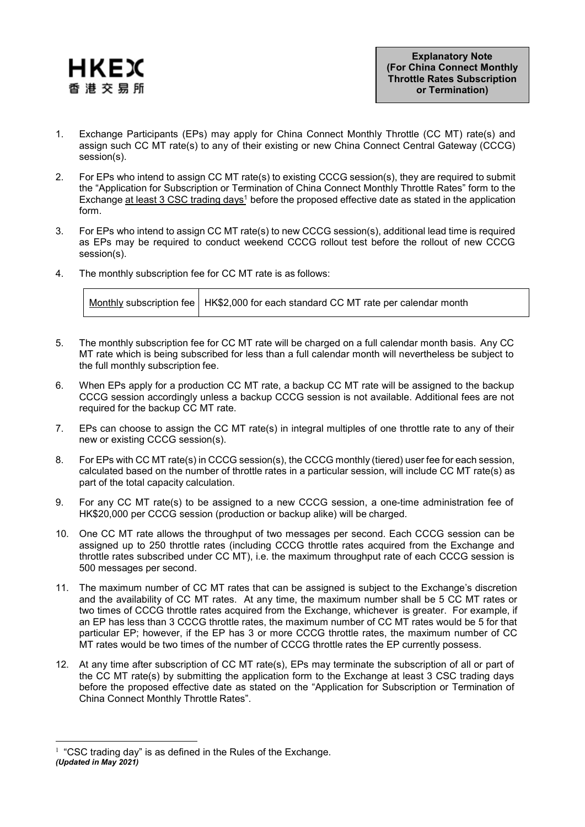

- 1. Exchange Participants (EPs) may apply for China Connect Monthly Throttle (CC MT) rate(s) and assign such CC MT rate(s) to any of their existing or new China Connect Central Gateway (CCCG) session(s).
- 2. For EPs who intend to assign CC MT rate(s) to existing CCCG session(s), they are required to submit the "Application for Subscription or Termination of China Connect Monthly Throttle Rates" form to the Exchange at least 3 CSC trading days<sup>1</sup> before the proposed effective date as stated in the application form.
- 3. For EPs who intend to assign CC MT rate(s) to new CCCG session(s), additional lead time is required as EPs may be required to conduct weekend CCCG rollout test before the rollout of new CCCG session(s).
- 4. The monthly subscription fee for CC MT rate is as follows:

|  | Monthly subscription fee   HK\$2,000 for each standard CC MT rate per calendar month |
|--|--------------------------------------------------------------------------------------|
|--|--------------------------------------------------------------------------------------|

- 5. The monthly subscription fee for CC MT rate will be charged on a full calendar month basis. Any CC MT rate which is being subscribed for less than a full calendar month will nevertheless be subject to the full monthly subscription fee.
- 6. When EPs apply for a production CC MT rate, a backup CC MT rate will be assigned to the backup CCCG session accordingly unless a backup CCCG session is not available. Additional fees are not required for the backup CC MT rate.
- 7. EPs can choose to assign the CC MT rate(s) in integral multiples of one throttle rate to any of their new or existing CCCG session(s).
- 8. For EPs with CC MT rate(s) in CCCG session(s), the CCCG monthly (tiered) user fee for each session, calculated based on the number of throttle rates in a particular session, will include CC MT rate(s) as part of the total capacity calculation.
- 9. For any CC MT rate(s) to be assigned to a new CCCG session, a one-time administration fee of HK\$20,000 per CCCG session (production or backup alike) will be charged.
- 10. One CC MT rate allows the throughput of two messages per second. Each CCCG session can be assigned up to 250 throttle rates (including CCCG throttle rates acquired from the Exchange and throttle rates subscribed under CC MT), i.e. the maximum throughput rate of each CCCG session is 500 messages per second.
- 11. The maximum number of CC MT rates that can be assigned is subject to the Exchange's discretion and the availability of CC MT rates. At any time, the maximum number shall be 5 CC MT rates or two times of CCCG throttle rates acquired from the Exchange, whichever is greater. For example, if an EP has less than 3 CCCG throttle rates, the maximum number of CC MT rates would be 5 for that particular EP; however, if the EP has 3 or more CCCG throttle rates, the maximum number of CC MT rates would be two times of the number of CCCG throttle rates the EP currently possess.
- 12. At any time after subscription of CC MT rate(s), EPs may terminate the subscription of all or part of the CC MT rate(s) by submitting the application form to the Exchange at least 3 CSC trading days before the proposed effective date as stated on the "Application for Subscription or Termination of China Connect Monthly Throttle Rates".

 $1$  "CSC trading day" is as defined in the Rules of the Exchange. *(Updated in May 2021)*